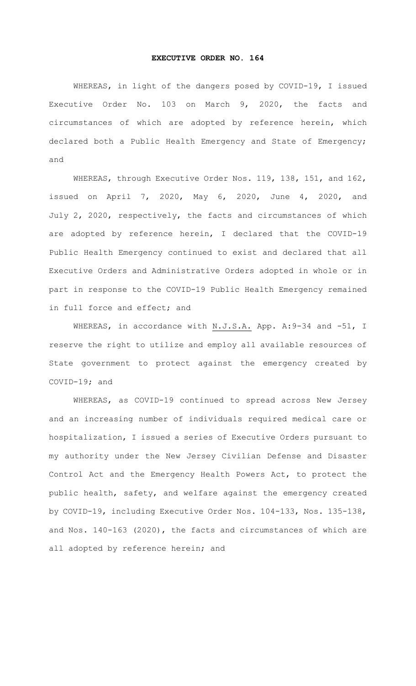## **EXECUTIVE ORDER NO. 164**

WHEREAS, in light of the dangers posed by COVID-19, I issued Executive Order No. 103 on March 9, 2020, the facts and circumstances of which are adopted by reference herein, which declared both a Public Health Emergency and State of Emergency; and

WHEREAS, through Executive Order Nos. 119, 138, 151, and 162, issued on April 7, 2020, May 6, 2020, June 4, 2020, and July 2, 2020, respectively, the facts and circumstances of which are adopted by reference herein, I declared that the COVID-19 Public Health Emergency continued to exist and declared that all Executive Orders and Administrative Orders adopted in whole or in part in response to the COVID-19 Public Health Emergency remained in full force and effect; and

WHEREAS, in accordance with N.J.S.A. App. A: 9-34 and -51, I reserve the right to utilize and employ all available resources of State government to protect against the emergency created by COVID-19; and

WHEREAS, as COVID-19 continued to spread across New Jersey and an increasing number of individuals required medical care or hospitalization, I issued a series of Executive Orders pursuant to my authority under the New Jersey Civilian Defense and Disaster Control Act and the Emergency Health Powers Act, to protect the public health, safety, and welfare against the emergency created by COVID-19, including Executive Order Nos. 104-133, Nos. 135-138, and Nos. 140-163 (2020), the facts and circumstances of which are all adopted by reference herein; and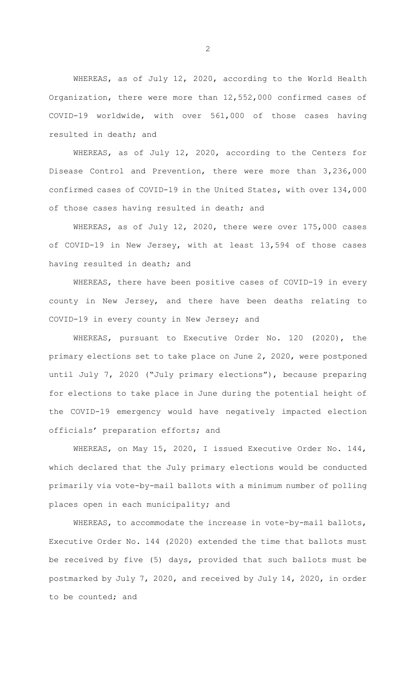WHEREAS, as of July 12, 2020, according to the World Health Organization, there were more than 12,552,000 confirmed cases of COVID-19 worldwide, with over 561,000 of those cases having resulted in death; and

WHEREAS, as of July 12, 2020, according to the Centers for Disease Control and Prevention, there were more than 3,236,000 confirmed cases of COVID-19 in the United States, with over 134,000 of those cases having resulted in death; and

WHEREAS, as of July 12, 2020, there were over 175,000 cases of COVID-19 in New Jersey, with at least 13,594 of those cases having resulted in death; and

WHEREAS, there have been positive cases of COVID-19 in every county in New Jersey, and there have been deaths relating to COVID-19 in every county in New Jersey; and

WHEREAS, pursuant to Executive Order No. 120 (2020), the primary elections set to take place on June 2, 2020, were postponed until July 7, 2020 ("July primary elections"), because preparing for elections to take place in June during the potential height of the COVID-19 emergency would have negatively impacted election officials' preparation efforts; and

WHEREAS, on May 15, 2020, I issued Executive Order No. 144, which declared that the July primary elections would be conducted primarily via vote-by-mail ballots with a minimum number of polling places open in each municipality; and

WHEREAS, to accommodate the increase in vote-by-mail ballots, Executive Order No. 144 (2020) extended the time that ballots must be received by five (5) days, provided that such ballots must be postmarked by July 7, 2020, and received by July 14, 2020, in order to be counted; and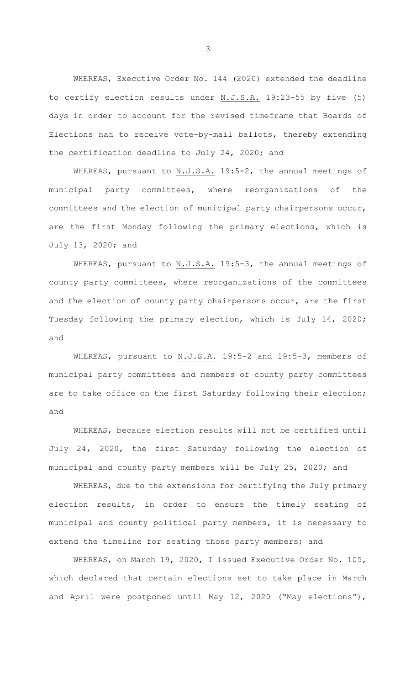WHEREAS, Executive Order No. 144 (2020) extended the deadline to certify election results under  $N.J.S.A.$  19:23-55 by five (5) days in order to account for the revised timeframe that Boards of Elections had to receive vote-by-mail ballots, thereby extending the certification deadline to July 24, 2020; and

WHEREAS, pursuant to N.J.S.A. 19:5-2, the annual meetings of municipal party committees, where reorganizations of the committees and the election of municipal party chairpersons occur, are the first Monday following the primary elections, which is July 13, 2020; and

WHEREAS, pursuant to N.J.S.A. 19:5-3, the annual meetings of county party committees, where reorganizations of the committees and the election of county party chairpersons occur, are the first Tuesday following the primary election, which is July 14, 2020; and

WHEREAS, pursuant to N.J.S.A. 19:5-2 and 19:5-3, members of municipal party committees and members of county party committees are to take office on the first Saturday following their election; and

WHEREAS, because election results will not be certified until July 24, 2020, the first Saturday following the election of municipal and county party members will be July 25, 2020; and

WHEREAS, due to the extensions for certifying the July primary election results, in order to ensure the timely seating of municipal and county political party members, it is necessary to extend the timeline for seating those party members; and

WHEREAS, on March 19, 2020, I issued Executive Order No. 105, which declared that certain elections set to take place in March and April were postponed until May 12, 2020 ("May elections"),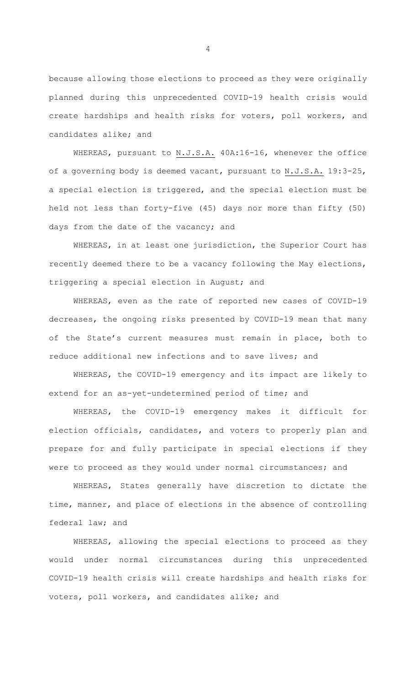because allowing those elections to proceed as they were originally planned during this unprecedented COVID-19 health crisis would create hardships and health risks for voters, poll workers, and candidates alike; and

WHEREAS, pursuant to N.J.S.A. 40A:16-16, whenever the office of a governing body is deemed vacant, pursuant to N.J.S.A. 19:3-25, a special election is triggered, and the special election must be held not less than forty-five (45) days nor more than fifty (50) days from the date of the vacancy; and

WHEREAS, in at least one jurisdiction, the Superior Court has recently deemed there to be a vacancy following the May elections, triggering a special election in August; and

WHEREAS, even as the rate of reported new cases of COVID-19 decreases, the ongoing risks presented by COVID-19 mean that many of the State's current measures must remain in place, both to reduce additional new infections and to save lives; and

WHEREAS, the COVID-19 emergency and its impact are likely to extend for an as-yet-undetermined period of time; and

WHEREAS, the COVID-19 emergency makes it difficult for election officials, candidates, and voters to properly plan and prepare for and fully participate in special elections if they were to proceed as they would under normal circumstances; and

WHEREAS, States generally have discretion to dictate the time, manner, and place of elections in the absence of controlling federal law; and

WHEREAS, allowing the special elections to proceed as they would under normal circumstances during this unprecedented COVID-19 health crisis will create hardships and health risks for voters, poll workers, and candidates alike; and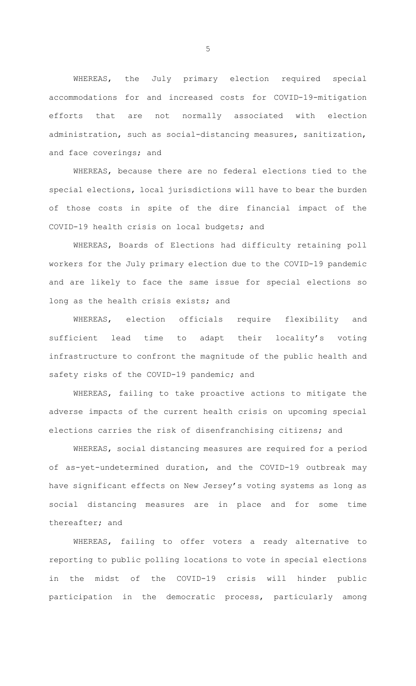WHEREAS, the July primary election required special accommodations for and increased costs for COVID-19-mitigation efforts that are not normally associated with election administration, such as social-distancing measures, sanitization, and face coverings; and

WHEREAS, because there are no federal elections tied to the special elections, local jurisdictions will have to bear the burden of those costs in spite of the dire financial impact of the COVID-19 health crisis on local budgets; and

WHEREAS, Boards of Elections had difficulty retaining poll workers for the July primary election due to the COVID-19 pandemic and are likely to face the same issue for special elections so long as the health crisis exists; and

WHEREAS, election officials require flexibility and sufficient lead time to adapt their locality's voting infrastructure to confront the magnitude of the public health and safety risks of the COVID-19 pandemic; and

WHEREAS, failing to take proactive actions to mitigate the adverse impacts of the current health crisis on upcoming special elections carries the risk of disenfranchising citizens; and

WHEREAS, social distancing measures are required for a period of as-yet-undetermined duration, and the COVID-19 outbreak may have significant effects on New Jersey's voting systems as long as social distancing measures are in place and for some time thereafter; and

WHEREAS, failing to offer voters a ready alternative to reporting to public polling locations to vote in special elections in the midst of the COVID-19 crisis will hinder public participation in the democratic process, particularly among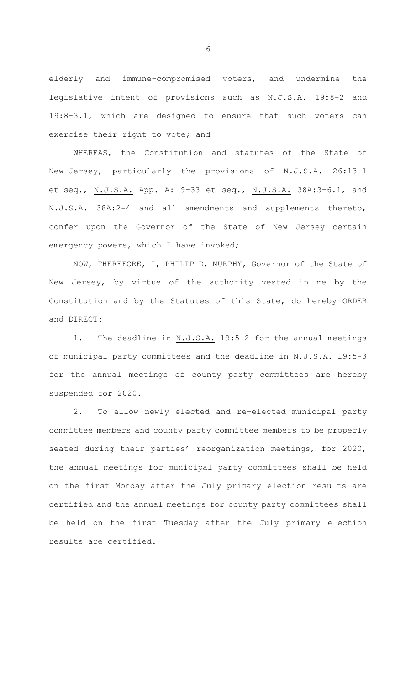elderly and immune-compromised voters, and undermine the legislative intent of provisions such as N.J.S.A. 19:8-2 and 19:8-3.1, which are designed to ensure that such voters can exercise their right to vote; and

WHEREAS, the Constitution and statutes of the State of New Jersey, particularly the provisions of N.J.S.A. 26:13-1 et seq., N.J.S.A. App. A: 9-33 et seq., N.J.S.A. 38A:3-6.1, and N.J.S.A. 38A:2-4 and all amendments and supplements thereto, confer upon the Governor of the State of New Jersey certain emergency powers, which I have invoked;

NOW, THEREFORE, I, PHILIP D. MURPHY, Governor of the State of New Jersey, by virtue of the authority vested in me by the Constitution and by the Statutes of this State, do hereby ORDER and DIRECT:

1. The deadline in N.J.S.A. 19:5-2 for the annual meetings of municipal party committees and the deadline in N.J.S.A. 19:5-3 for the annual meetings of county party committees are hereby suspended for 2020.

2. To allow newly elected and re-elected municipal party committee members and county party committee members to be properly seated during their parties' reorganization meetings, for 2020, the annual meetings for municipal party committees shall be held on the first Monday after the July primary election results are certified and the annual meetings for county party committees shall be held on the first Tuesday after the July primary election results are certified.